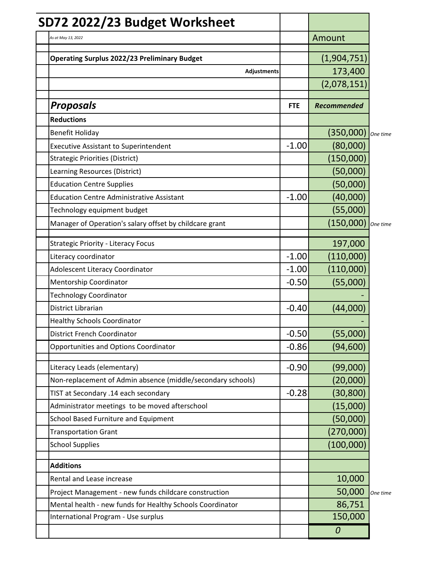| SD72 2022/23 Budget Worksheet                               |            |                    |          |
|-------------------------------------------------------------|------------|--------------------|----------|
| As at May 13, 2022                                          |            | Amount             |          |
| <b>Operating Surplus 2022/23 Preliminary Budget</b>         |            | (1,904,751)        |          |
| Adjustments                                                 |            | 173,400            |          |
|                                                             |            | (2,078,151)        |          |
| <b>Proposals</b>                                            | <b>FTE</b> | <b>Recommended</b> |          |
| <b>Reductions</b>                                           |            |                    |          |
| <b>Benefit Holiday</b>                                      |            | (350,000)          | One time |
| <b>Executive Assistant to Superintendent</b>                | $-1.00$    | (80,000)           |          |
| <b>Strategic Priorities (District)</b>                      |            | (150,000)          |          |
| Learning Resources (District)                               |            | (50,000)           |          |
| <b>Education Centre Supplies</b>                            |            | (50,000)           |          |
| <b>Education Centre Administrative Assistant</b>            | $-1.00$    | (40,000)           |          |
| Technology equipment budget                                 |            | (55,000)           |          |
| Manager of Operation's salary offset by childcare grant     |            | (150,000)          | One time |
| <b>Strategic Priority - Literacy Focus</b>                  |            | 197,000            |          |
| Literacy coordinator                                        | $-1.00$    | (110,000)          |          |
| <b>Adolescent Literacy Coordinator</b>                      | $-1.00$    | (110,000)          |          |
| Mentorship Coordinator                                      | $-0.50$    | (55,000)           |          |
| <b>Technology Coordinator</b>                               |            |                    |          |
| District Librarian                                          | $-0.40$    | (44,000)           |          |
| <b>Healthy Schools Coordinator</b>                          |            |                    |          |
| <b>District French Coordinator</b>                          | $-0.50$    | (55,000)           |          |
| <b>Opportunities and Options Coordinator</b>                | $-0.86$    | (94, 600)          |          |
| Literacy Leads (elementary)                                 | $-0.90$    | (99,000)           |          |
| Non-replacement of Admin absence (middle/secondary schools) |            | (20,000)           |          |
| TIST at Secondary .14 each secondary                        | $-0.28$    | (30, 800)          |          |
| Administrator meetings to be moved afterschool              |            | (15,000)           |          |
| School Based Furniture and Equipment                        |            | (50,000)           |          |
| <b>Transportation Grant</b>                                 |            | (270,000)          |          |
| <b>School Supplies</b>                                      |            | (100,000)          |          |
| <b>Additions</b>                                            |            |                    |          |
| Rental and Lease increase                                   |            | 10,000             |          |
| Project Management - new funds childcare construction       |            | 50,000             | One time |
| Mental health - new funds for Healthy Schools Coordinator   |            | 86,751             |          |
| International Program - Use surplus                         |            | 150,000            |          |
|                                                             |            | 0                  |          |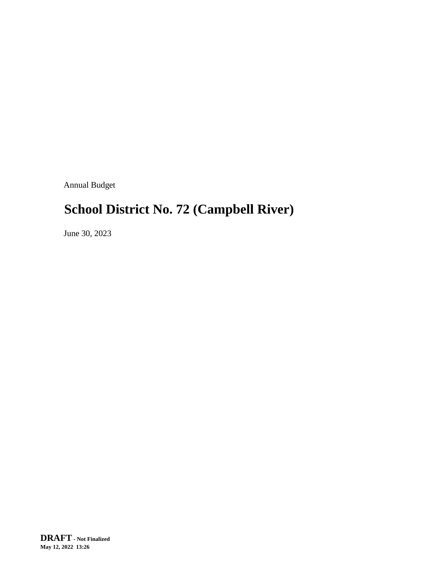Annual Budget

# **School District No. 72 (Campbell River)**

June 30, 2023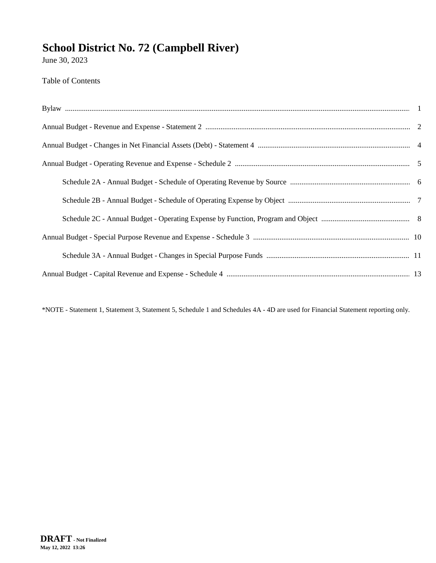June 30, 2023

#### Table of Contents

\*NOTE - Statement 1, Statement 3, Statement 5, Schedule 1 and Schedules 4A - 4D are used for Financial Statement reporting only.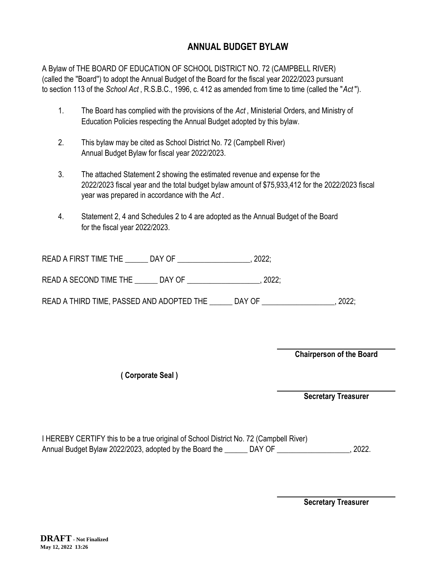#### **ANNUAL BUDGET BYLAW**

A Bylaw of THE BOARD OF EDUCATION OF SCHOOL DISTRICT NO. 72 (CAMPBELL RIVER) (called the ''Board'') to adopt the Annual Budget of the Board for the fiscal year 2022/2023 pursuant to section 113 of the *School Act* , R.S.B.C., 1996, c. 412 as amended from time to time (called the "*Act* ").

- 1. The Board has complied with the provisions of the *Act* , Ministerial Orders, and Ministry of Education Policies respecting the Annual Budget adopted by this bylaw.
- 2. This bylaw may be cited as School District No. 72 (Campbell River) Annual Budget Bylaw for fiscal year 2022/2023.
- 3. The attached Statement 2 showing the estimated revenue and expense for the 2022/2023 fiscal year and the total budget bylaw amount of \$75,933,412 for the 2022/2023 fiscal year was prepared in accordance with the *Act* .
- 4. Statement 2, 4 and Schedules 2 to 4 are adopted as the Annual Budget of the Board for the fiscal year 2022/2023.

| <b>READ A FIRST TIME THE</b> | DAY OF |  |
|------------------------------|--------|--|
|------------------------------|--------|--|

READ A SECOND TIME THE \_\_\_\_\_\_\_ DAY OF \_\_\_\_\_\_\_\_\_\_\_\_\_\_\_\_\_\_\_, 2022;

READ A THIRD TIME, PASSED AND ADOPTED THE \_\_\_\_\_\_\_ DAY OF \_\_\_\_\_\_\_\_\_\_\_\_\_\_\_\_\_\_\_\_, 2022;

**Chairperson of the Board**

**( Corporate Seal )**

**Secretary Treasurer**

I HEREBY CERTIFY this to be a true original of School District No. 72 (Campbell River) Annual Budget Bylaw 2022/2023, adopted by the Board the \_\_\_\_\_\_ DAY OF \_\_\_\_\_\_\_\_\_\_\_\_\_\_\_\_\_\_\_\_\_\_, 2022.

**Secretary Treasurer**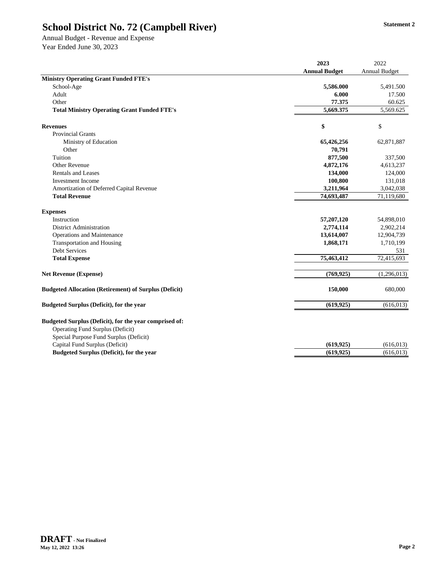Annual Budget - Revenue and Expense Year Ended June 30, 2023

|                                                                                                                                      | 2023                 | 2022                 |
|--------------------------------------------------------------------------------------------------------------------------------------|----------------------|----------------------|
|                                                                                                                                      | <b>Annual Budget</b> | <b>Annual Budget</b> |
| <b>Ministry Operating Grant Funded FTE's</b>                                                                                         |                      |                      |
| School-Age                                                                                                                           | 5,586.000            | 5,491.500            |
| Adult                                                                                                                                | 6.000                | 17.500               |
| Other                                                                                                                                | 77.375               | 60.625               |
| <b>Total Ministry Operating Grant Funded FTE's</b>                                                                                   | 5,669.375            | 5,569.625            |
| <b>Revenues</b>                                                                                                                      | \$                   | \$                   |
| <b>Provincial Grants</b>                                                                                                             |                      |                      |
| Ministry of Education                                                                                                                | 65,426,256           | 62,871,887           |
| Other                                                                                                                                | 70,791               |                      |
| Tuition                                                                                                                              | 877,500              | 337,500              |
| Other Revenue                                                                                                                        | 4,872,176            | 4,613,237            |
| <b>Rentals and Leases</b>                                                                                                            | 134,000              | 124,000              |
| <b>Investment</b> Income                                                                                                             | 100,800              | 131,018              |
| Amortization of Deferred Capital Revenue                                                                                             | 3,211,964            | 3,042,038            |
| <b>Total Revenue</b>                                                                                                                 | 74,693,487           | 71,119,680           |
| <b>Expenses</b>                                                                                                                      |                      |                      |
| Instruction                                                                                                                          | 57,207,120           | 54,898,010           |
| <b>District Administration</b>                                                                                                       | 2,774,114            | 2,902,214            |
| Operations and Maintenance                                                                                                           | 13,614,007           | 12,904,739           |
| <b>Transportation and Housing</b>                                                                                                    | 1,868,171            | 1,710,199            |
| Debt Services                                                                                                                        |                      | 531                  |
| <b>Total Expense</b>                                                                                                                 | 75,463,412           | 72,415,693           |
| <b>Net Revenue (Expense)</b>                                                                                                         | (769, 925)           | (1,296,013)          |
| <b>Budgeted Allocation (Retirement) of Surplus (Deficit)</b>                                                                         | 150,000              | 680,000              |
| <b>Budgeted Surplus (Deficit), for the year</b>                                                                                      | (619, 925)           | (616, 013)           |
| Budgeted Surplus (Deficit), for the year comprised of:<br>Operating Fund Surplus (Deficit)<br>Special Purpose Fund Surplus (Deficit) |                      |                      |
| Capital Fund Surplus (Deficit)                                                                                                       | (619, 925)           | (616, 013)           |
| <b>Budgeted Surplus (Deficit), for the year</b>                                                                                      | (619, 925)           | (616, 013)           |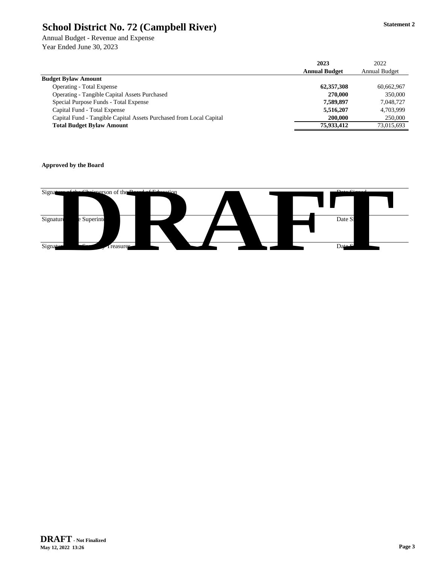Annual Budget - Revenue and Expense Year Ended June 30, 2023

|                                                                     | 2023                 | 2022                 |
|---------------------------------------------------------------------|----------------------|----------------------|
|                                                                     | <b>Annual Budget</b> | <b>Annual Budget</b> |
| <b>Budget Bylaw Amount</b>                                          |                      |                      |
| <b>Operating - Total Expense</b>                                    | 62,357,308           | 60,662,967           |
| <b>Operating - Tangible Capital Assets Purchased</b>                | 270,000              | 350,000              |
| Special Purpose Funds - Total Expense                               | 7,589,897            | 7.048.727            |
| Capital Fund - Total Expense                                        | 5,516,207            | 4.703.999            |
| Capital Fund - Tangible Capital Assets Purchased from Local Capital | 200,000              | 250,000              |
| <b>Total Budget Bylaw Amount</b>                                    | 75,933,412           | 73.015.693           |

#### **Approved by the Board**

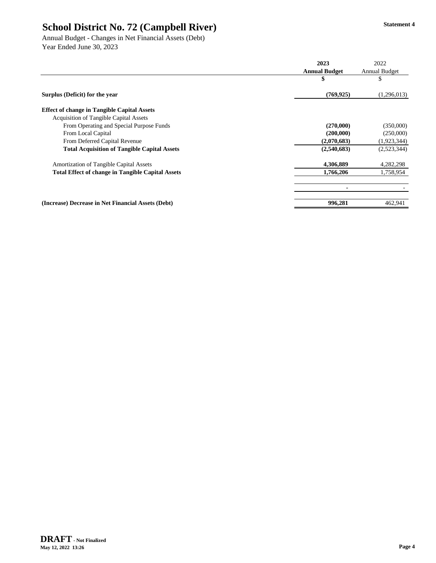Annual Budget - Changes in Net Financial Assets (Debt) Year Ended June 30, 2023

|                                                          | 2023                 | 2022                 |
|----------------------------------------------------------|----------------------|----------------------|
|                                                          | <b>Annual Budget</b> | <b>Annual Budget</b> |
|                                                          | \$                   | J                    |
| Surplus (Deficit) for the year                           | (769, 925)           | (1,296,013)          |
| <b>Effect of change in Tangible Capital Assets</b>       |                      |                      |
| <b>Acquisition of Tangible Capital Assets</b>            |                      |                      |
| From Operating and Special Purpose Funds                 | (270,000)            | (350,000)            |
| From Local Capital                                       | (200,000)            | (250,000)            |
| From Deferred Capital Revenue                            | (2,070,683)          | (1,923,344)          |
| <b>Total Acquisition of Tangible Capital Assets</b>      | (2,540,683)          | (2,523,344)          |
| Amortization of Tangible Capital Assets                  | 4,306,889            | 4,282,298            |
| <b>Total Effect of change in Tangible Capital Assets</b> | 1,766,206            | 1,758,954            |
|                                                          |                      |                      |
| (Increase) Decrease in Net Financial Assets (Debt)       | 996,281              | 462,941              |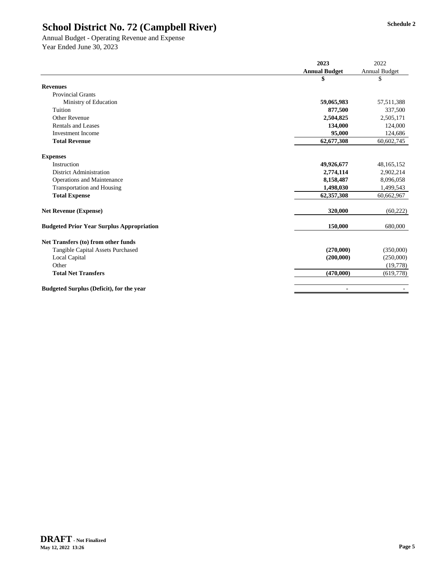Annual Budget - Operating Revenue and Expense Year Ended June 30, 2023

|                                                  | 2023                 | 2022                 |
|--------------------------------------------------|----------------------|----------------------|
|                                                  | <b>Annual Budget</b> | <b>Annual Budget</b> |
|                                                  | \$                   | \$                   |
| <b>Revenues</b>                                  |                      |                      |
| <b>Provincial Grants</b>                         |                      |                      |
| Ministry of Education                            | 59,065,983           | 57,511,388           |
| Tuition                                          | 877,500              | 337,500              |
| Other Revenue                                    | 2,504,825            | 2,505,171            |
| <b>Rentals and Leases</b>                        | 134,000              | 124,000              |
| <b>Investment Income</b>                         | 95,000               | 124,686              |
| <b>Total Revenue</b>                             | 62,677,308           | 60,602,745           |
| <b>Expenses</b>                                  |                      |                      |
| Instruction                                      | 49,926,677           | 48, 165, 152         |
| District Administration                          | 2,774,114            | 2,902,214            |
| <b>Operations and Maintenance</b>                | 8,158,487            | 8,096,058            |
| <b>Transportation and Housing</b>                | 1,498,030            | 1,499,543            |
| <b>Total Expense</b>                             | 62,357,308           | 60,662,967           |
| <b>Net Revenue (Expense)</b>                     | 320,000              | (60, 222)            |
| <b>Budgeted Prior Year Surplus Appropriation</b> | 150,000              | 680,000              |
| Net Transfers (to) from other funds              |                      |                      |
| Tangible Capital Assets Purchased                | (270,000)            | (350,000)            |
| Local Capital                                    | (200,000)            | (250,000)            |
| Other                                            |                      | (19,778)             |
| <b>Total Net Transfers</b>                       | (470,000)            | (619,778)            |
| <b>Budgeted Surplus (Deficit), for the year</b>  | ٠                    |                      |
|                                                  |                      |                      |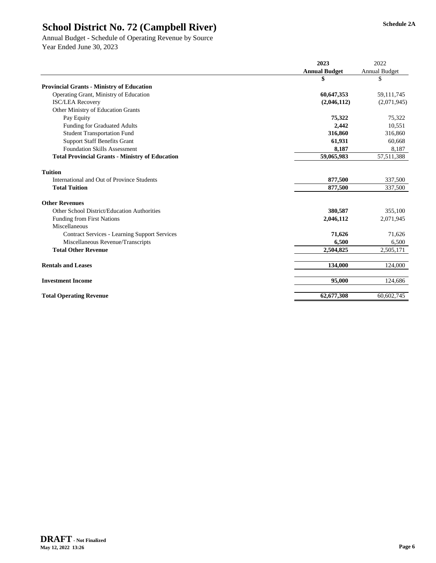Annual Budget - Schedule of Operating Revenue by Source Year Ended June 30, 2023

|                                                        | 2023                 | 2022                 |
|--------------------------------------------------------|----------------------|----------------------|
|                                                        | <b>Annual Budget</b> | <b>Annual Budget</b> |
|                                                        | \$                   | \$                   |
| <b>Provincial Grants - Ministry of Education</b>       |                      |                      |
| Operating Grant, Ministry of Education                 | 60,647,353           | 59, 111, 745         |
| <b>ISC/LEA Recovery</b>                                | (2,046,112)          | (2,071,945)          |
| Other Ministry of Education Grants                     |                      |                      |
| Pay Equity                                             | 75,322               | 75,322               |
| <b>Funding for Graduated Adults</b>                    | 2,442                | 10,551               |
| <b>Student Transportation Fund</b>                     | 316,860              | 316,860              |
| <b>Support Staff Benefits Grant</b>                    | 61,931               | 60,668               |
| <b>Foundation Skills Assessment</b>                    | 8,187                | 8,187                |
| <b>Total Provincial Grants - Ministry of Education</b> | 59,065,983           | 57,511,388           |
| <b>Tuition</b>                                         |                      |                      |
| International and Out of Province Students             | 877,500              | 337,500              |
| <b>Total Tuition</b>                                   | 877,500              | 337,500              |
| <b>Other Revenues</b>                                  |                      |                      |
| Other School District/Education Authorities            | 380,587              | 355,100              |
| <b>Funding from First Nations</b>                      | 2,046,112            | 2,071,945            |
| Miscellaneous                                          |                      |                      |
| <b>Contract Services - Learning Support Services</b>   | 71,626               | 71,626               |
| Miscellaneous Revenue/Transcripts                      | 6,500                | 6,500                |
| <b>Total Other Revenue</b>                             | 2,504,825            | 2,505,171            |
| <b>Rentals and Leases</b>                              | 134,000              | 124,000              |
| <b>Investment Income</b>                               | 95,000               | 124,686              |
| <b>Total Operating Revenue</b>                         | 62,677,308           | 60,602,745           |
|                                                        |                      |                      |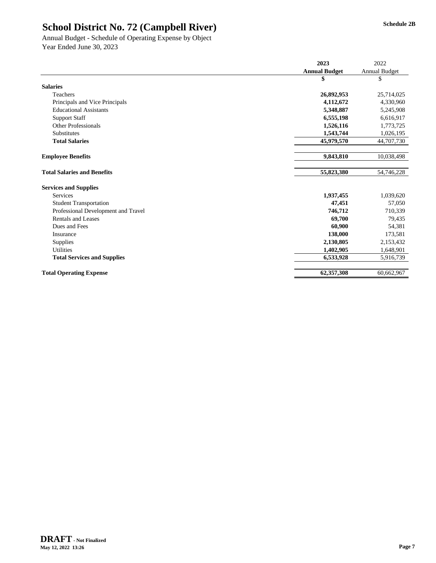Annual Budget - Schedule of Operating Expense by Object Year Ended June 30, 2023

|                                     | 2023                 | 2022                 |
|-------------------------------------|----------------------|----------------------|
|                                     | <b>Annual Budget</b> | <b>Annual Budget</b> |
|                                     | \$                   | \$                   |
| <b>Salaries</b>                     |                      |                      |
| Teachers                            | 26,892,953           | 25,714,025           |
| Principals and Vice Principals      | 4,112,672            | 4,330,960            |
| <b>Educational Assistants</b>       | 5,348,887            | 5,245,908            |
| <b>Support Staff</b>                | 6,555,198            | 6,616,917            |
| <b>Other Professionals</b>          | 1,526,116            | 1,773,725            |
| <b>Substitutes</b>                  | 1,543,744            | 1,026,195            |
| <b>Total Salaries</b>               | 45,979,570           | 44,707,730           |
| <b>Employee Benefits</b>            | 9,843,810            | 10,038,498           |
| <b>Total Salaries and Benefits</b>  | 55,823,380           | 54,746,228           |
| <b>Services and Supplies</b>        |                      |                      |
| Services                            | 1,937,455            | 1,039,620            |
| <b>Student Transportation</b>       | 47,451               | 57,050               |
| Professional Development and Travel | 746,712              | 710,339              |
| Rentals and Leases                  | 69,700               | 79,435               |
| Dues and Fees                       | 60,900               | 54,381               |
| Insurance                           | 138,000              | 173,581              |
| Supplies                            | 2,130,805            | 2,153,432            |
| <b>Utilities</b>                    | 1,402,905            | 1,648,901            |
| <b>Total Services and Supplies</b>  | 6,533,928            | 5,916,739            |
| <b>Total Operating Expense</b>      | 62,357,308           | 60,662,967           |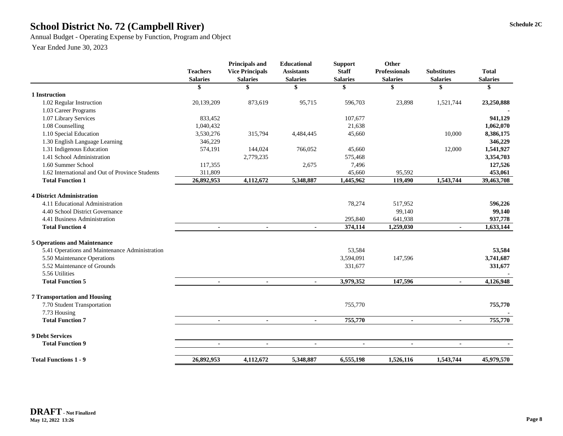# **Schedule 2C School District No. 72 (Campbell River)**

Annual Budget - Operating Expense by Function, Program and Object

|                                                 | <b>Teachers</b><br><b>Salaries</b> | Principals and<br><b>Vice Principals</b><br><b>Salaries</b> | <b>Educational</b><br><b>Assistants</b><br><b>Salaries</b> | <b>Support</b><br><b>Staff</b><br><b>Salaries</b> | Other<br><b>Professionals</b><br><b>Salaries</b> | <b>Substitutes</b><br><b>Salaries</b> | <b>Total</b><br><b>Salaries</b> |
|-------------------------------------------------|------------------------------------|-------------------------------------------------------------|------------------------------------------------------------|---------------------------------------------------|--------------------------------------------------|---------------------------------------|---------------------------------|
|                                                 | \$                                 | \$                                                          | \$                                                         | \$                                                | \$                                               | \$                                    | \$                              |
| 1 Instruction                                   |                                    |                                                             |                                                            |                                                   |                                                  |                                       |                                 |
| 1.02 Regular Instruction                        | 20,139,209                         | 873,619                                                     | 95,715                                                     | 596,703                                           | 23,898                                           | 1,521,744                             | 23,250,888                      |
| 1.03 Career Programs                            |                                    |                                                             |                                                            |                                                   |                                                  |                                       |                                 |
| 1.07 Library Services                           | 833,452                            |                                                             |                                                            | 107,677                                           |                                                  |                                       | 941,129                         |
| 1.08 Counselling                                | 1,040,432                          |                                                             |                                                            | 21,638                                            |                                                  |                                       | 1,062,070                       |
| 1.10 Special Education                          | 3,530,276                          | 315,794                                                     | 4,484,445                                                  | 45,660                                            |                                                  | 10,000                                | 8,386,175                       |
| 1.30 English Language Learning                  | 346,229                            |                                                             |                                                            |                                                   |                                                  |                                       | 346,229                         |
| 1.31 Indigenous Education                       | 574,191                            | 144,024                                                     | 766,052                                                    | 45,660                                            |                                                  | 12,000                                | 1,541,927                       |
| 1.41 School Administration                      |                                    | 2,779,235                                                   |                                                            | 575,468                                           |                                                  |                                       | 3,354,703                       |
| 1.60 Summer School                              | 117,355                            |                                                             | 2,675                                                      | 7,496                                             |                                                  |                                       | 127,526                         |
| 1.62 International and Out of Province Students | 311,809                            |                                                             |                                                            | 45,660                                            | 95,592                                           |                                       | 453,061                         |
| <b>Total Function 1</b>                         | 26,892,953                         | 4,112,672                                                   | 5,348,887                                                  | 1,445,962                                         | 119,490                                          | 1,543,744                             | 39,463,708                      |
| <b>4 District Administration</b>                |                                    |                                                             |                                                            |                                                   |                                                  |                                       |                                 |
| 4.11 Educational Administration                 |                                    |                                                             |                                                            | 78,274                                            | 517,952                                          |                                       | 596,226                         |
| 4.40 School District Governance                 |                                    |                                                             |                                                            |                                                   | 99,140                                           |                                       | 99,140                          |
| 4.41 Business Administration                    |                                    |                                                             |                                                            | 295,840                                           | 641,938                                          |                                       | 937,778                         |
| <b>Total Function 4</b>                         | $\blacksquare$                     | $\overline{a}$                                              | $\overline{a}$                                             | 374,114                                           | 1,259,030                                        | ä,                                    | 1,633,144                       |
|                                                 |                                    |                                                             |                                                            |                                                   |                                                  |                                       |                                 |
| <b>5 Operations and Maintenance</b>             |                                    |                                                             |                                                            |                                                   |                                                  |                                       |                                 |
| 5.41 Operations and Maintenance Administration  |                                    |                                                             |                                                            | 53,584                                            |                                                  |                                       | 53,584                          |
| 5.50 Maintenance Operations                     |                                    |                                                             |                                                            | 3,594,091                                         | 147,596                                          |                                       | 3,741,687                       |
| 5.52 Maintenance of Grounds                     |                                    |                                                             |                                                            | 331,677                                           |                                                  |                                       | 331,677                         |
| 5.56 Utilities                                  |                                    |                                                             |                                                            |                                                   |                                                  |                                       |                                 |
| <b>Total Function 5</b>                         | $\blacksquare$                     | $\blacksquare$                                              | $\blacksquare$                                             | 3,979,352                                         | 147,596                                          | $\blacksquare$                        | 4,126,948                       |
| <b>7 Transportation and Housing</b>             |                                    |                                                             |                                                            |                                                   |                                                  |                                       |                                 |
| 7.70 Student Transportation                     |                                    |                                                             |                                                            | 755,770                                           |                                                  |                                       | 755,770                         |
| 7.73 Housing                                    |                                    |                                                             |                                                            |                                                   |                                                  |                                       |                                 |
| <b>Total Function 7</b>                         | $\blacksquare$                     | $\overline{\phantom{a}}$                                    | $\sim$                                                     | 755,770                                           | $\overline{a}$                                   | ÷                                     | 755,770                         |
|                                                 |                                    |                                                             |                                                            |                                                   |                                                  |                                       |                                 |
| <b>9 Debt Services</b>                          |                                    |                                                             |                                                            |                                                   |                                                  |                                       |                                 |
| <b>Total Function 9</b>                         | $\blacksquare$                     | $\blacksquare$                                              | $\blacksquare$                                             | $\blacksquare$                                    | $\blacksquare$                                   | $\blacksquare$                        |                                 |
| <b>Total Functions 1 - 9</b>                    | 26,892,953                         | 4,112,672                                                   | 5,348,887                                                  | 6,555,198                                         | 1,526,116                                        | 1,543,744                             | 45,979,570                      |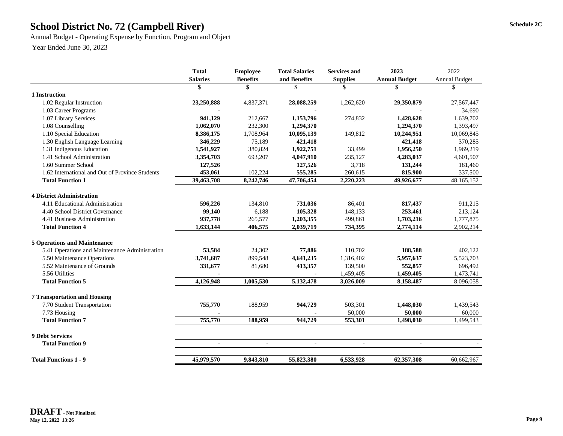# **Schedule 2C School District No. 72 (Campbell River)**

Annual Budget - Operating Expense by Function, Program and Object

|                                                 | <b>Total</b>    | <b>Total Salaries</b><br><b>Services and</b><br><b>Employee</b> |                |                 | 2023                 | 2022                 |
|-------------------------------------------------|-----------------|-----------------------------------------------------------------|----------------|-----------------|----------------------|----------------------|
|                                                 | <b>Salaries</b> | <b>Benefits</b>                                                 | and Benefits   | <b>Supplies</b> | <b>Annual Budget</b> | <b>Annual Budget</b> |
|                                                 | \$              | \$                                                              | \$             | S               |                      | \$                   |
| 1 Instruction                                   |                 |                                                                 |                |                 |                      |                      |
| 1.02 Regular Instruction                        | 23,250,888      | 4,837,371                                                       | 28,088,259     | 1,262,620       | 29,350,879           | 27,567,447           |
| 1.03 Career Programs                            |                 |                                                                 |                |                 |                      | 34,690               |
| 1.07 Library Services                           | 941,129         | 212,667                                                         | 1,153,796      | 274,832         | 1,428,628            | 1,639,702            |
| 1.08 Counselling                                | 1,062,070       | 232,300                                                         | 1,294,370      |                 | 1,294,370            | 1,393,497            |
| 1.10 Special Education                          | 8,386,175       | 1,708,964                                                       | 10,095,139     | 149,812         | 10,244,951           | 10,069,845           |
| 1.30 English Language Learning                  | 346,229         | 75,189                                                          | 421,418        |                 | 421,418              | 370,285              |
| 1.31 Indigenous Education                       | 1,541,927       | 380,824                                                         | 1,922,751      | 33,499          | 1,956,250            | 1,969,219            |
| 1.41 School Administration                      | 3,354,703       | 693,207                                                         | 4,047,910      | 235,127         | 4,283,037            | 4,601,507            |
| 1.60 Summer School                              | 127,526         |                                                                 | 127,526        | 3,718           | 131,244              | 181,460              |
| 1.62 International and Out of Province Students | 453,061         | 102,224                                                         | 555,285        | 260,615         | 815,900              | 337,500              |
| <b>Total Function 1</b>                         | 39,463,708      | 8,242,746                                                       | 47,706,454     | 2,220,223       | 49,926,677           | 48,165,152           |
| <b>4 District Administration</b>                |                 |                                                                 |                |                 |                      |                      |
| 4.11 Educational Administration                 | 596,226         | 134,810                                                         | 731,036        | 86,401          | 817,437              | 911,215              |
| 4.40 School District Governance                 | 99,140          | 6,188                                                           | 105,328        | 148,133         | 253,461              | 213,124              |
| 4.41 Business Administration                    | 937,778         | 265,577                                                         | 1,203,355      | 499,861         | 1,703,216            | 1,777,875            |
| <b>Total Function 4</b>                         | 1,633,144       | 406,575                                                         | 2,039,719      | 734,395         | 2,774,114            | 2,902,214            |
|                                                 |                 |                                                                 |                |                 |                      |                      |
| <b>5 Operations and Maintenance</b>             |                 |                                                                 |                |                 |                      |                      |
| 5.41 Operations and Maintenance Administration  | 53,584          | 24,302                                                          | 77,886         | 110,702         | 188,588              | 402,122              |
| 5.50 Maintenance Operations                     | 3,741,687       | 899,548                                                         | 4,641,235      | 1,316,402       | 5,957,637            | 5,523,703            |
| 5.52 Maintenance of Grounds                     | 331,677         | 81,680                                                          | 413,357        | 139,500         | 552,857              | 696,492              |
| 5.56 Utilities                                  |                 |                                                                 |                | 1,459,405       | 1,459,405            | 1,473,741            |
| <b>Total Function 5</b>                         | 4,126,948       | 1,005,530                                                       | 5,132,478      | 3,026,009       | 8,158,487            | 8,096,058            |
| <b>7 Transportation and Housing</b>             |                 |                                                                 |                |                 |                      |                      |
| 7.70 Student Transportation                     | 755,770         | 188,959                                                         | 944,729        | 503,301         | 1,448,030            | 1,439,543            |
| 7.73 Housing                                    |                 |                                                                 |                | 50,000          | 50,000               | 60,000               |
| <b>Total Function 7</b>                         | 755,770         | 188,959                                                         | 944,729        | 553,301         | 1,498,030            | 1,499,543            |
|                                                 |                 |                                                                 |                |                 |                      |                      |
| <b>9 Debt Services</b>                          |                 |                                                                 |                |                 |                      |                      |
| <b>Total Function 9</b>                         | $\blacksquare$  | $\blacksquare$                                                  | $\blacksquare$ | $\blacksquare$  | $\blacksquare$       |                      |
| <b>Total Functions 1 - 9</b>                    | 45,979,570      | 9,843,810                                                       | 55,823,380     | 6,533,928       | 62,357,308           | 60,662,967           |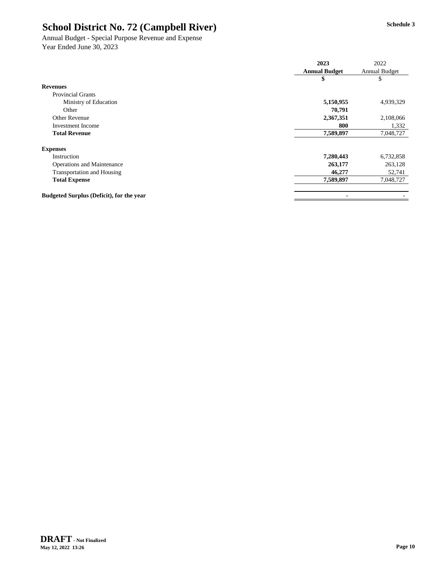Annual Budget - Special Purpose Revenue and Expense Year Ended June 30, 2023

|                                                 | 2023                 | 2022          |  |
|-------------------------------------------------|----------------------|---------------|--|
|                                                 | <b>Annual Budget</b> | Annual Budget |  |
|                                                 | \$                   | \$            |  |
| <b>Revenues</b>                                 |                      |               |  |
| <b>Provincial Grants</b>                        |                      |               |  |
| Ministry of Education                           | 5,150,955            | 4,939,329     |  |
| Other                                           | 70,791               |               |  |
| Other Revenue                                   | 2,367,351            | 2,108,066     |  |
| <b>Investment Income</b>                        | 800                  | 1,332         |  |
| <b>Total Revenue</b>                            | 7,589,897            | 7,048,727     |  |
| <b>Expenses</b>                                 |                      |               |  |
| Instruction                                     | 7,280,443            | 6,732,858     |  |
| <b>Operations and Maintenance</b>               | 263,177              | 263,128       |  |
| <b>Transportation and Housing</b>               | 46,277               | 52,741        |  |
| <b>Total Expense</b>                            | 7,589,897            | 7,048,727     |  |
| <b>Budgeted Surplus (Deficit), for the year</b> |                      |               |  |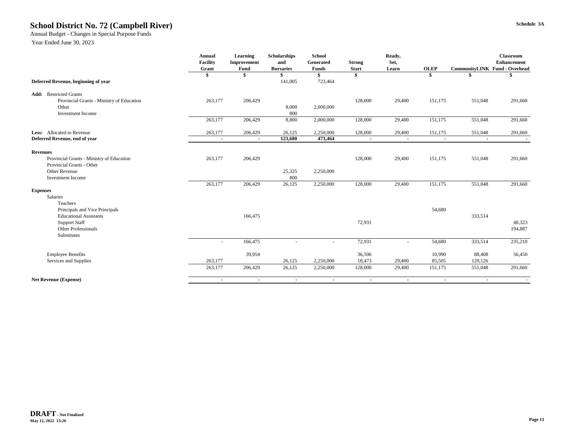#### **Schedule 3A School District No. 72 (Campbell River)**

Annual Budget - Changes in Special Purpose Funds

|                                           | Annual          | Learning       | Scholarships     | School         |                          | Ready,                   |             |                                      | <b>Classroom</b>   |
|-------------------------------------------|-----------------|----------------|------------------|----------------|--------------------------|--------------------------|-------------|--------------------------------------|--------------------|
|                                           | <b>Facility</b> | Improvement    | and              | Generated      | <b>Strong</b>            | Set,                     |             |                                      | <b>Enhancement</b> |
|                                           | Grant           | Fund           | <b>Bursaries</b> | <b>Funds</b>   | <b>Start</b>             | Learn                    | <b>OLEP</b> | <b>CommunityLINK Fund - Overhead</b> |                    |
|                                           |                 |                |                  | \$             | \$                       |                          |             |                                      |                    |
| Deferred Revenue, beginning of year       |                 |                | 141,005          | 723,464        |                          |                          |             |                                      |                    |
| <b>Add:</b> Restricted Grants             |                 |                |                  |                |                          |                          |             |                                      |                    |
| Provincial Grants - Ministry of Education | 263,177         | 206,429        |                  |                | 128,000                  | 29,400                   | 151,175     | 551,048                              | 291,660            |
| Other                                     |                 |                | 8,000            | 2,000,000      |                          |                          |             |                                      |                    |
| Investment Income                         |                 |                | 800              |                |                          |                          |             |                                      |                    |
|                                           | 263,177         | 206,429        | 8,800            | 2,000,000      | 128,000                  | 29,400                   | 151,175     | 551,048                              | 291,660            |
| Less: Allocated to Revenue                | 263,177         | 206,429        | 26,125           | 2,250,000      | 128,000                  | 29,400                   | 151,175     | 551,048                              | 291,660            |
| Deferred Revenue, end of year             | $\blacksquare$  | $\blacksquare$ | 123,680          | 473,464        | $\overline{a}$           | $\sim$                   | $\sim$      | $\blacksquare$                       |                    |
| <b>Revenues</b>                           |                 |                |                  |                |                          |                          |             |                                      |                    |
| Provincial Grants - Ministry of Education | 263,177         | 206,429        |                  |                | 128,000                  | 29,400                   | 151,175     | 551,048                              | 291,660            |
| Provincial Grants - Other                 |                 |                |                  |                |                          |                          |             |                                      |                    |
| Other Revenue                             |                 |                | 25,325           | 2,250,000      |                          |                          |             |                                      |                    |
| <b>Investment Income</b>                  |                 |                | 800              |                |                          |                          |             |                                      |                    |
|                                           | 263,177         | 206,429        | 26,125           | 2,250,000      | 128,000                  | 29,400                   | 151,175     | 551,048                              | 291,660            |
| <b>Expenses</b>                           |                 |                |                  |                |                          |                          |             |                                      |                    |
| Salaries                                  |                 |                |                  |                |                          |                          |             |                                      |                    |
| Teachers                                  |                 |                |                  |                |                          |                          |             |                                      |                    |
| Principals and Vice Principals            |                 |                |                  |                |                          |                          | 54,680      |                                      |                    |
| <b>Educational Assistants</b>             |                 | 166,475        |                  |                |                          |                          |             | 333,514                              |                    |
| <b>Support Staff</b>                      |                 |                |                  |                | 72,931                   |                          |             |                                      | 40,323             |
| Other Professionals                       |                 |                |                  |                |                          |                          |             |                                      | 194,887            |
| Substitutes                               |                 |                |                  |                |                          |                          |             |                                      |                    |
|                                           |                 | 166,475        |                  |                | 72,931                   |                          | 54,680      | 333,514                              | 235,210            |
| <b>Employee Benefits</b>                  |                 | 39,954         |                  |                | 36,596                   |                          | 10,990      | 88,408                               | 56,450             |
| Services and Supplies                     | 263,177         |                | 26,125           | 2,250,000      | 18,473                   | 29,400                   | 85,505      | 129,126                              |                    |
|                                           | 263,177         | 206,429        | 26,125           | 2,250,000      | 128,000                  | 29,400                   | 151,175     | 551,048                              | 291,660            |
| <b>Net Revenue (Expense)</b>              | $\sim$          | $\sim$         | $\sim$           | $\blacksquare$ | $\overline{\phantom{a}}$ | $\overline{\phantom{a}}$ | $\sim$      | $\sim$                               |                    |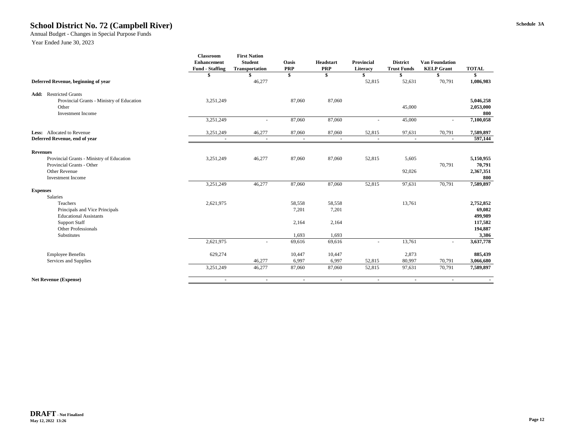#### **Schedule 3A School District No. 72 (Campbell River)**

#### Annual Budget - Changes in Special Purpose Funds

|                                           | <b>Classroom</b><br><b>Enhancement</b><br><b>Fund - Staffing</b> | <b>First Nation</b><br><b>Student</b><br><b>Transportation</b> | <b>Oasis</b><br><b>PRP</b> | Headstart<br><b>PRP</b> | <b>Provincial</b><br>Literacy | <b>District</b><br><b>Trust Funds</b> | <b>Van Foundation</b><br><b>KELP Grant</b> | <b>TOTAL</b>     |
|-------------------------------------------|------------------------------------------------------------------|----------------------------------------------------------------|----------------------------|-------------------------|-------------------------------|---------------------------------------|--------------------------------------------|------------------|
|                                           |                                                                  |                                                                | \$                         | \$                      | \$                            | \$                                    | \$                                         | \$               |
| Deferred Revenue, beginning of year       |                                                                  | 46,277                                                         |                            |                         | 52,815                        | 52,631                                | 70,791                                     | 1,086,983        |
| <b>Add:</b> Restricted Grants             |                                                                  |                                                                |                            |                         |                               |                                       |                                            |                  |
| Provincial Grants - Ministry of Education | 3,251,249                                                        |                                                                | 87,060                     | 87,060                  |                               |                                       |                                            | 5,046,258        |
| Other                                     |                                                                  |                                                                |                            |                         |                               | 45,000                                |                                            | 2,053,000        |
| <b>Investment Income</b>                  | 3,251,249                                                        |                                                                | 87,060                     | 87,060                  |                               | 45,000                                | $\sim$                                     | 800<br>7,100,058 |
|                                           |                                                                  |                                                                |                            |                         |                               |                                       |                                            |                  |
| Less: Allocated to Revenue                | 3,251,249                                                        | 46,277                                                         | 87,060                     | 87,060                  | 52,815                        | 97,631                                | 70,791                                     | 7,589,897        |
| Deferred Revenue, end of year             | $\blacksquare$                                                   | $\blacksquare$                                                 | $\blacksquare$             | $\blacksquare$          | $\sim$                        | $\blacksquare$                        | $\sim$                                     | 597,144          |
| <b>Revenues</b>                           |                                                                  |                                                                |                            |                         |                               |                                       |                                            |                  |
| Provincial Grants - Ministry of Education | 3,251,249                                                        | 46,277                                                         | 87,060                     | 87,060                  | 52,815                        | 5,605                                 |                                            | 5,150,955        |
| Provincial Grants - Other                 |                                                                  |                                                                |                            |                         |                               |                                       | 70,791                                     | 70,791           |
| Other Revenue                             |                                                                  |                                                                |                            |                         |                               | 92,026                                |                                            | 2,367,351        |
| Investment Income                         |                                                                  |                                                                |                            |                         |                               |                                       |                                            | 800              |
|                                           | 3,251,249                                                        | 46,277                                                         | 87,060                     | 87,060                  | 52,815                        | 97,631                                | 70,791                                     | 7,589,897        |
| <b>Expenses</b><br><b>Salaries</b>        |                                                                  |                                                                |                            |                         |                               |                                       |                                            |                  |
| Teachers                                  | 2,621,975                                                        |                                                                | 58,558                     | 58,558                  |                               | 13,761                                |                                            | 2,752,852        |
| Principals and Vice Principals            |                                                                  |                                                                | 7,201                      | 7,201                   |                               |                                       |                                            | 69,082           |
| <b>Educational Assistants</b>             |                                                                  |                                                                |                            |                         |                               |                                       |                                            | 499,989          |
| <b>Support Staff</b>                      |                                                                  |                                                                | 2,164                      | 2,164                   |                               |                                       |                                            | 117,582          |
| Other Professionals<br>Substitutes        |                                                                  |                                                                | 1,693                      | 1,693                   |                               |                                       |                                            | 194,887<br>3,386 |
|                                           | 2,621,975                                                        | $\sim$                                                         | 69,616                     | 69,616                  | $\overline{a}$                | 13,761                                | $\sim$                                     | 3,637,778        |
|                                           |                                                                  |                                                                |                            |                         |                               |                                       |                                            |                  |
| <b>Employee Benefits</b>                  | 629,274                                                          |                                                                | 10,447                     | 10,447                  |                               | 2,873                                 |                                            | 885,439          |
| Services and Supplies                     |                                                                  | 46,277                                                         | 6,997                      | 6,997                   | 52,815                        | 80,997                                | 70,791                                     | 3,066,680        |
|                                           | 3,251,249                                                        | 46,277                                                         | 87,060                     | 87,060                  | 52,815                        | 97,631                                | 70,791                                     | 7,589,897        |
| <b>Net Revenue (Expense)</b>              | $\sim$                                                           | $\sim$                                                         | $\sim$                     | $\sim$                  | $\sim$                        | $\sim$                                | $\sim$                                     |                  |